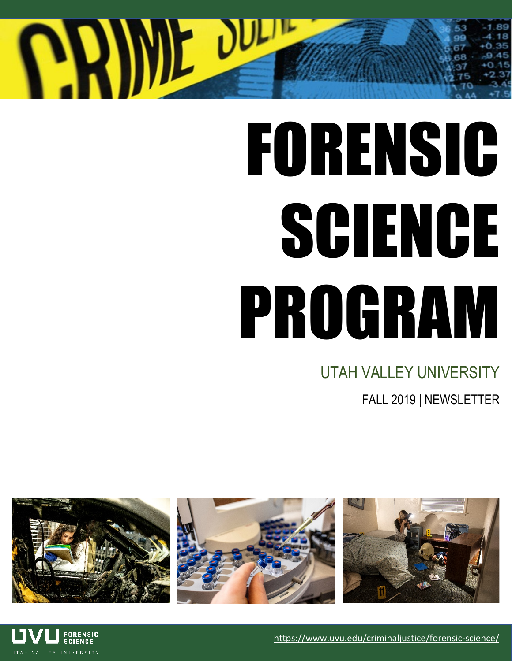# **ANDE DUE**

## FORENSIC SCIENCE PROGRAM

## UTAH VALLEY UNIVERSITY

FALL 2019 | NEWSLETTER





<https://www.uvu.edu/criminaljustice/forensic-science/>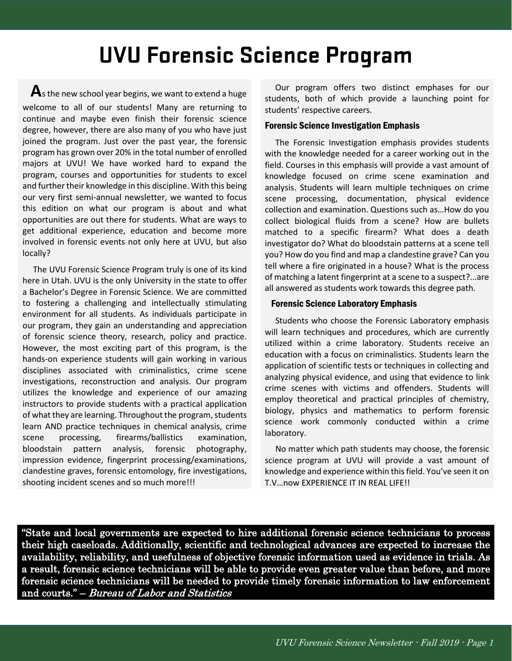## **UVU Forensic Science Program**

 **A**s the new school year begins, we want to extend a huge welcome to all of our students! Many are returning to continue and maybe even finish their forensic science degree, however, there are also many of you who have just joined the program. Just over the past year, the forensic program has grown over 20% in the total number of enrolled majors at UVU! We have worked hard to expand the program, courses and opportunities for students to excel and further their knowledge in this discipline. With this being our very first semi-annual newsletter, we wanted to focus this edition on what our program is about and what opportunities are out there for students. What are ways to get additional experience, education and become more involved in forensic events not only here at UVU, but also locally?

 The UVU Forensic Science Program truly is one of its kind here in Utah. UVU is the only University in the state to offer a Bachelor's Degree in Forensic Science. We are committed to fostering a challenging and intellectually stimulating environment for all students. As individuals participate in our program, they gain an understanding and appreciation of forensic science theory, research, policy and practice. However, the most exciting part of this program, is the hands-on experience students will gain working in various disciplines associated with criminalistics, crime scene investigations, reconstruction and analysis. Our program utilizes the knowledge and experience of our amazing instructors to provide students with a practical application of what they are learning. Throughout the program, students learn AND practice techniques in chemical analysis, crime scene processing, firearms/ballistics examination, bloodstain pattern analysis, forensic photography, impression evidence, fingerprint processing/examinations, clandestine graves, forensic entomology, fire investigations, shooting incident scenes and so much more!!!

 Our program offers two distinct emphases for our students, both of which provide a launching point for students' respective careers.

#### Forensic Science Investigation Emphasis

 The Forensic Investigation emphasis provides students with the knowledge needed for a career working out in the field. Courses in this emphasis will provide a vast amount of knowledge focused on crime scene examination and analysis. Students will learn multiple techniques on crime scene processing, documentation, physical evidence collection and examination. Questions such as…How do you collect biological fluids from a scene? How are bullets matched to a specific firearm? What does a death investigator do? What do bloodstain patterns at a scene tell you? How do you find and map a clandestine grave? Can you tell where a fire originated in a house? What is the process of matching a latent fingerprint at a scene to a suspect?...are all answered as students work towards this degree path.

#### Forensic Science Laboratory Emphasis

 Students who choose the Forensic Laboratory emphasis will learn techniques and procedures, which are currently utilized within a crime laboratory. Students receive an education with a focus on criminalistics. Students learn the application of scientific tests or techniques in collecting and analyzing physical evidence, and using that evidence to link crime scenes with victims and offenders. Students will employ theoretical and practical principles of chemistry, biology, physics and mathematics to perform forensic science work commonly conducted within a crime laboratory.

 No matter which path students may choose, the forensic science program at UVU will provide a vast amount of knowledge and experience within this field. You've seen it on T.V…now EXPERIENCE IT IN REAL LIFE!!

"State and local governments are expected to hire additional forensic science technicians to process their high caseloads. Additionally, scientific and technological advances are expected to increase the availability, reliability, and usefulness of objective forensic information used as evidence in trials. As a result, forensic science technicians will be able to provide even greater value than before, and more forensic science technicians will be needed to provide timely forensic information to law enforcement and courts." – Bureau of Labor and Statistics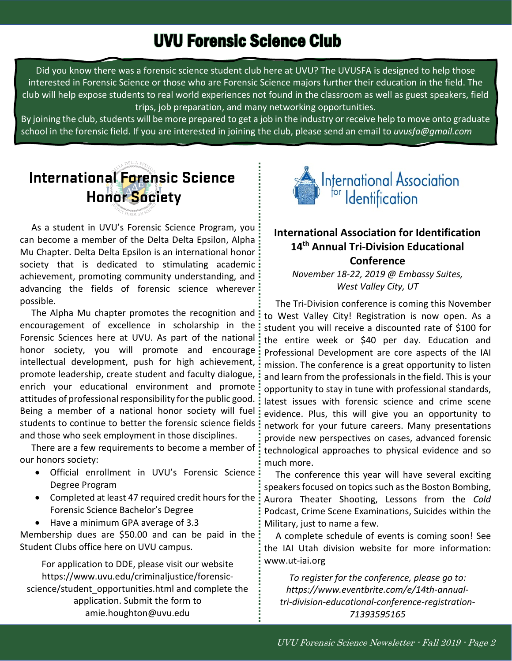## UVU Forensic Science Club

Did you know there was a forensic science student club here at UVU? The UVUSFA is designed to help those interested in Forensic Science or those who are Forensic Science majors further their education in the field. The club will help expose students to real world experiences not found in the classroom as well as guest speakers, field trips, job preparation, and many networking opportunities.

By joining the club, students will be more prepared to get a job in the industry or receive help to move onto graduate school in the forensic field. If you are interested in joining the club, please send an email to *uvusfa@gmail.com*



 As a student in UVU's Forensic Science Program, you can become a member of the Delta Delta Epsilon, Alpha Mu Chapter. Delta Delta Epsilon is an international honor society that is dedicated to stimulating academic achievement, promoting community understanding, and advancing the fields of forensic science wherever possible.

The Alpha Mu chapter promotes the recognition and encouragement of excellence in scholarship in the Forensic Sciences here at UVU. As part of the national honor society, you will promote and encourage intellectual development, push for high achievement, promote leadership, create student and faculty dialogue, enrich your educational environment and promote attitudes of professional responsibility for the public good. Being a member of a national honor society will fuel students to continue to better the forensic science fields and those who seek employment in those disciplines.

 There are a few requirements to become a member of our honors society:

- Official enrollment in UVU's Forensic Science Degree Program
- Completed at least 47 required credit hours for the  $\frac{1}{2}$ Forensic Science Bachelor's Degree
- Have a minimum GPA average of 3.3

Membership dues are \$50.00 and can be paid in the Student Clubs office here on UVU campus.

For application to DDE, please visit our website https://www.uvu.edu/criminaljustice/forensicscience/student\_opportunities.html and complete the application. Submit the form to amie.houghton@uvu.edu



### **International Association for Identification 14th Annual Tri-Division Educational Conference**

*November 18-22, 2019 @ Embassy Suites, West Valley City, UT*

 The Tri-Division conference is coming this November to West Valley City! Registration is now open. As a student you will receive a discounted rate of \$100 for the entire week or \$40 per day. Education and Professional Development are core aspects of the IAI mission. The conference is a great opportunity to listen and learn from the professionals in the field. This is your opportunity to stay in tune with professional standards, latest issues with forensic science and crime scene evidence. Plus, this will give you an opportunity to network for your future careers. Many presentations provide new perspectives on cases, advanced forensic technological approaches to physical evidence and so much more.

 The conference this year will have several exciting speakers focused on topics such as the Boston Bombing, Aurora Theater Shooting, Lessons from the *Cold* Podcast, Crime Scene Examinations, Suicides within the Military, just to name a few.

 A complete schedule of events is coming soon! See the IAI Utah division website for more information: www.ut-iai.org

*To register for the conference, please go to: https://www.eventbrite.com/e/14th-annualtri-division-educational-conference-registration-71393595165*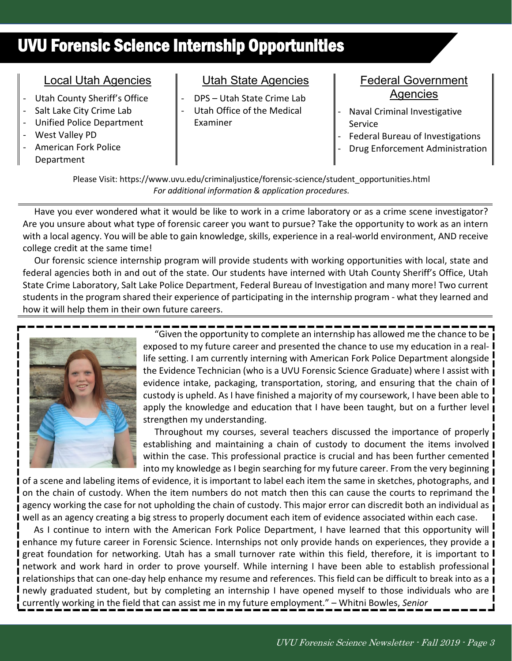## UVU Forensic Science Internship Opportunities

#### Local Utah Agencies

- Utah County Sheriff's Office
- Salt Lake City Crime Lab
- Unified Police Department
- West Valley PD
- American Fork Police Department

## Utah State Agencies

- DPS Utah State Crime Lab
- Utah Office of the Medical Examiner

#### Federal Government Agencies

- Naval Criminal Investigative Service
- Federal Bureau of Investigations
- Drug Enforcement Administration

Please Visit: [https://www.uvu.edu/criminaljustice/forensic-science/student\\_opportunities.html](https://www.uvu.edu/criminaljustice/forensic-science/student_opportunities.html) *For additional information & application procedures.*

 Have you ever wondered what it would be like to work in a crime laboratory or as a crime scene investigator? Are you unsure about what type of forensic career you want to pursue? Take the opportunity to work as an intern with a local agency. You will be able to gain knowledge, skills, experience in a real-world environment, AND receive college credit at the same time!

 Our forensic science internship program will provide students with working opportunities with local, state and federal agencies both in and out of the state. Our students have interned with Utah County Sheriff's Office, Utah State Crime Laboratory, Salt Lake Police Department, Federal Bureau of Investigation and many more! Two current students in the program shared their experience of participating in the internship program - what they learned and how it will help them in their own future careers.



 "Given the opportunity to complete an internship has allowed me the chance to be exposed to my future career and presented the chance to use my education in a reallife setting. I am currently interning with American Fork Police Department alongside the Evidence Technician (who is a UVU Forensic Science Graduate) where I assist with evidence intake, packaging, transportation, storing, and ensuring that the chain of custody is upheld. As I have finished a majority of my coursework, I have been able to apply the knowledge and education that I have been taught, but on a further level strengthen my understanding.

 Throughout my courses, several teachers discussed the importance of properly establishing and maintaining a chain of custody to document the items involved within the case. This professional practice is crucial and has been further cemented into my knowledge as I begin searching for my future career. From the very beginning

of a scene and labeling items of evidence, it is important to label each item the same in sketches, photographs, and on the chain of custody. When the item numbers do not match then this can cause the courts to reprimand the agency working the case for not upholding the chain of custody. This major error can discredit both an individual as well as an agency creating a big stress to properly document each item of evidence associated within each case.

 As I continue to intern with the American Fork Police Department, I have learned that this opportunity will enhance my future career in Forensic Science. Internships not only provide hands on experiences, they provide a great foundation for networking. Utah has a small turnover rate within this field, therefore, it is important to network and work hard in order to prove yourself. While interning I have been able to establish professional relationships that can one-day help enhance my resume and references. This field can be difficult to break into as a newly graduated student, but by completing an internship I have opened myself to those individuals who are currently working in the field that can assist me in my future employment." – Whitni Bowles, *Senior*